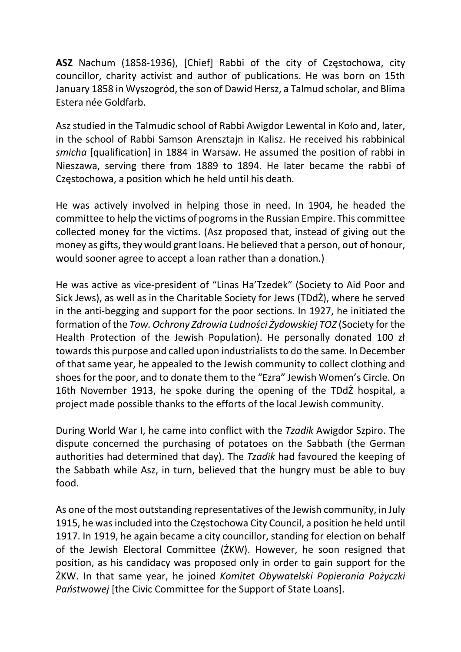ASZ Nachum (1858-1936), [Chief] Rabbi of the city of Częstochowa, city councillor, charity activist and author of publications. He was born on 15th January 1858 in Wyszogród, the son of Dawid Hersz, a Talmud scholar, and Blima Estera née Goldfarb.

Asz studied in the Talmudic school of Rabbi Awigdor Lewental in Koło and, later, in the school of Rabbi Samson Arensztajn in Kalisz. He received his rabbinical smicha [qualification] in 1884 in Warsaw. He assumed the position of rabbi in Nieszawa, serving there from 1889 to 1894. He later became the rabbi of Częstochowa, a position which he held until his death.

He was actively involved in helping those in need. In 1904, he headed the committee to help the victims of pogroms in the Russian Empire. This committee collected money for the victims. (Asz proposed that, instead of giving out the money as gifts, they would grant loans. He believed that a person, out of honour, would sooner agree to accept a loan rather than a donation.)

He was active as vice-president of "Linas Ha'Tzedek" (Society to Aid Poor and Sick Jews), as well as in the Charitable Society for Jews (TDdŻ), where he served in the anti-begging and support for the poor sections. In 1927, he initiated the formation of the Tow. Ochrony Zdrowia Ludności Żydowskiej TOZ (Society for the Health Protection of the Jewish Population). He personally donated 100 zł towards this purpose and called upon industrialists to do the same. In December of that same year, he appealed to the Jewish community to collect clothing and shoes for the poor, and to donate them to the "Ezra" Jewish Women's Circle. On 16th November 1913, he spoke during the opening of the TDdŻ hospital, a project made possible thanks to the efforts of the local Jewish community.

During World War I, he came into conflict with the Tzadik Awigdor Szpiro. The dispute concerned the purchasing of potatoes on the Sabbath (the German authorities had determined that day). The Tzadik had favoured the keeping of the Sabbath while Asz, in turn, believed that the hungry must be able to buy food.

As one of the most outstanding representatives of the Jewish community, in July 1915, he was included into the Częstochowa City Council, a position he held until 1917. In 1919, he again became a city councillor, standing for election on behalf of the Jewish Electoral Committee (ŻKW). However, he soon resigned that position, as his candidacy was proposed only in order to gain support for the ŻKW. In that same year, he joined Komitet Obywatelski Popierania Pożyczki Państwowej [the Civic Committee for the Support of State Loans].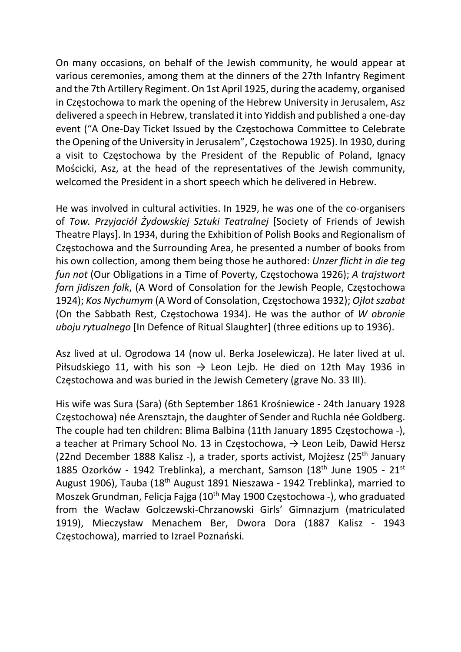On many occasions, on behalf of the Jewish community, he would appear at various ceremonies, among them at the dinners of the 27th Infantry Regiment and the 7th Artillery Regiment. On 1st April 1925, during the academy, organised in Częstochowa to mark the opening of the Hebrew University in Jerusalem, Asz delivered a speech in Hebrew, translated it into Yiddish and published a one-day event ("A One-Day Ticket Issued by the Częstochowa Committee to Celebrate the Opening of the University in Jerusalem", Częstochowa 1925). In 1930, during a visit to Częstochowa by the President of the Republic of Poland, Ignacy Mościcki, Asz, at the head of the representatives of the Jewish community, welcomed the President in a short speech which he delivered in Hebrew.

He was involved in cultural activities. In 1929, he was one of the co-organisers of Tow. Przyjaciół Żydowskiej Sztuki Teatralnej [Society of Friends of Jewish Theatre Plays]. In 1934, during the Exhibition of Polish Books and Regionalism of Częstochowa and the Surrounding Area, he presented a number of books from his own collection, among them being those he authored: Unzer flicht in die teg fun not (Our Obligations in a Time of Poverty, Częstochowa 1926); A trajstwort farn jidiszen folk, (A Word of Consolation for the Jewish People, Częstochowa 1924); Kos Nychumym (A Word of Consolation, Częstochowa 1932); Ojłot szabat (On the Sabbath Rest, Częstochowa 1934). He was the author of W obronie uboju rytualnego [In Defence of Ritual Slaughter] (three editions up to 1936).

Asz lived at ul. Ogrodowa 14 (now ul. Berka Joselewicza). He later lived at ul. Piłsudskiego 11, with his son  $\rightarrow$  Leon Lejb. He died on 12th May 1936 in Częstochowa and was buried in the Jewish Cemetery (grave No. 33 III).

His wife was Sura (Sara) (6th September 1861 Krośniewice - 24th January 1928 Częstochowa) née Arensztajn, the daughter of Sender and Ruchla née Goldberg. The couple had ten children: Blima Balbina (11th January 1895 Częstochowa -), a teacher at Primary School No. 13 in Częstochowa,  $\rightarrow$  Leon Leib, Dawid Hersz (22nd December 1888 Kalisz -), a trader, sports activist, Mojżesz (25th January 1885 Ozorków - 1942 Treblinka), a merchant, Samson (18<sup>th</sup> June 1905 - 21<sup>st</sup> August 1906), Tauba (18<sup>th</sup> August 1891 Nieszawa - 1942 Treblinka), married to Moszek Grundman, Felicja Fajga (10<sup>th</sup> May 1900 Częstochowa -), who graduated from the Wacław Golczewski-Chrzanowski Girls' Gimnazjum (matriculated 1919), Mieczysław Menachem Ber, Dwora Dora (1887 Kalisz - 1943 Częstochowa), married to Izrael Poznański.